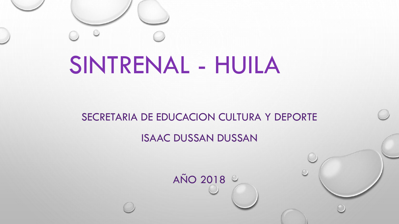# SINTRENAL - HUILA

#### SECRETARIA DE EDUCACION CULTURA Y DEPORTE

#### ISAAC DUSSAN DUSSAN

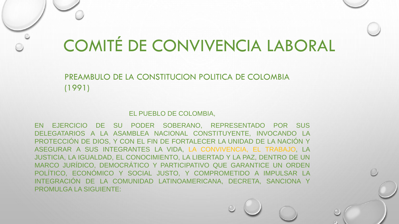PREAMBULO DE LA CONSTITUCION POLITICA DE COLOMBIA (1991)

#### EL PUEBLO DE COLOMBIA,

EN EJERCICIO DE SU PODER SOBERANO, REPRESENTADO POR SUS DELEGATARIOS A LA ASAMBLEA NACIONAL CONSTITUYENTE, INVOCANDO LA PROTECCIÓN DE DIOS, Y CON EL FIN DE FORTALECER LA UNIDAD DE LA NACIÓN Y ASEGURAR A SUS INTEGRANTES LA VIDA, LA CONVIVENCIA, EL TRABAJO, LA JUSTICIA, LA IGUALDAD, EL CONOCIMIENTO, LA LIBERTAD Y LA PAZ, DENTRO DE UN MARCO JURÍDICO, DEMOCRÁTICO Y PARTICIPATIVO QUE GARANTICE UN ORDEN POLÍTICO, ECONÓMICO Y SOCIAL JUSTO, Y COMPROMETIDO A IMPULSAR LA INTEGRACIÓN DE LA COMUNIDAD LATINOAMERICANA, DECRETA, SANCIONA Y PROMULGA LA SIGUIENTE: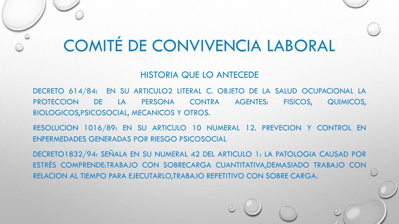#### HISTORIA QUE LO ANTECEDE

DECRETO 614/84: EN SU ARTICULO2 LITERAL C. OBJETO DE LA SALUD OCUPACIONAL LA PROTECCION DE LA PERSONA CONTRA AGENTES: FISICOS, QUIMICOS, BIOLOGICOS,PSICOSOCIAL, MECANICOS Y OTROS.

RESOLUCION 1016/89: EN SU ARTICULO 10 NUMERAL 12. PREVECION Y CONTROL EN ENFERMEDADES GENERADAS POR RIESGO PSICOSOCIAL

DECRETO1832/94: SEÑALA EN SU NUMERAL 42 DEL ARTICULO 1: LA PATOLOGIA CAUSAD POR ESTRÉS COMPRENDE:TRABAJO CON SOBRECARGA CUANTITATIVA,DEMASIADO TRABAJO CON RELACION AL TIEMPO PARA EJECUTARLO,TRABAJO REPETITIVO CON SOBRE CARGA.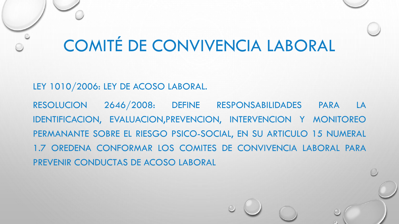LEY 1010/2006: LEY DE ACOSO LABORAL.

RESOLUCION 2646/2008: DEFINE RESPONSABILIDADES PARA LA IDENTIFICACION, EVALUACION,PREVENCION, INTERVENCION Y MONITOREO PERMANANTE SOBRE EL RIESGO PSICO-SOCIAL, EN SU ARTICULO 15 NUMERAL 1.7 OREDENA CONFORMAR LOS COMITES DE CONVIVENCIA LABORAL PARA PREVENIR CONDUCTAS DE ACOSO LABORAL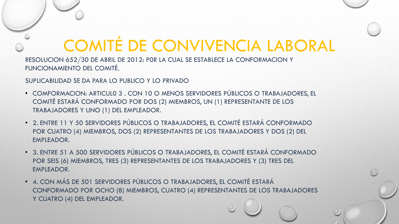RESOLUCION 652/30 DE ABRIL DE 2012: P0R LA CUAL SE ESTABLECE LA CONFORMACION Y FUNCIONAMIENTO DEL COMITÉ.

SUPLICABILIDAD SE DA PARA LO PUBLICO Y LO PRIVADO

- COMFORMACION: ARTICUL0 3 . CON 10 O MENOS SERVIDORES PÚBLICOS O TRABAJADORES, EL COMITÉ ESTARÁ CONFORMADO POR DOS (2) MIEMBROS, UN (1) REPRESENTANTE DE LOS TRABAJADORES Y UNO (1) DEL EMPLEADOR.
- 2. ENTRE 11 Y 50 SERVIDORES PÚBLICOS O TRABAJADORES, EL COMITÉ ESTARÁ CONFORMADO POR CUATRO (4) MIEMBROS, DOS (2) REPRESENTANTES DE LOS TRABAJADORES Y DOS (2) DEL EMPLEADOR.
- 3. ENTRE 51 A 500 SERVIDORES PÚBLICOS O TRABAJADORES, EL COMITÉ ESTARÁ CONFORMADO POR SEIS (6) MIEMBROS, TRES (3) REPRESENTANTES DE LOS TRABAJADORES Y (3) TRES DEL EMPLEADOR.
- 4. CON MÁS DE 501 SERVIDORES PÚBLICOS O TRABAJADORES, EL COMITÉ ESTARÁ CONFORMADO POR OCHO (8) MIEMBROS, CUATRO (4) REPRESENTANTES DE LOS TRABAJADORES Y CUATRO (4) DEL EMPLEADOR.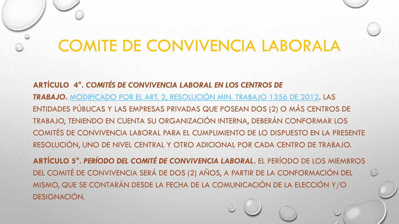**ARTÍCULO 4°.** *COMITÉS DE CONVIVENCIA LABORAL EN LOS CENTROS DE TRABAJO***.** [MODIFICADO POR EL ART. 2, RESOLUCIÓN MIN. TRABAJO 1356 DE 2012.](http://www.alcaldiabogota.gov.co/sisjur/normas/Norma1.jsp?i=48587#2) LAS ENTIDADES PÚBLICAS Y LAS EMPRESAS PRIVADAS QUE POSEAN DOS (2) O MÁS CENTROS DE TRABAJO, TENIENDO EN CUENTA SU ORGANIZACIÓN INTERNA, DEBERÁN CONFORMAR LOS COMITÉS DE CONVIVENCIA LABORAL PARA EL CUMPLIMIENTO DE LO DISPUESTO EN LA PRESENTE RESOLUCIÓN, UNO DE NIVEL CENTRAL Y OTRO ADICIONAL POR CADA CENTRO DE TRABAJO.

**ARTÍCULO 5°.** *PERÍODO DEL COMITÉ DE CONVIVENCIA LABORAL***.** EL PERÍODO DE LOS MIEMBROS DEL COMITÉ DE CONVIVENCIA SERÁ DE DOS (2) AÑOS, A PARTIR DE LA CONFORMACIÓN DEL MISMO, QUE SE CONTARÁN DESDE LA FECHA DE LA COMUNICACIÓN DE LA ELECCIÓN Y/O DESIGNACIÓN.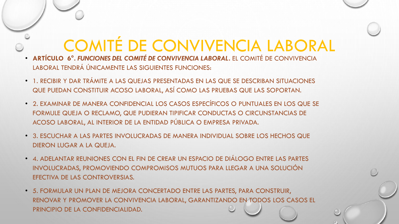- **ARTÍCULO 6°.** *FUNCIONES DEL COMITÉ DE CONVIVENCIA LABORAL***.** EL COMITÉ DE CONVIVENCIA LABORAL TENDRÁ ÚNICAMENTE LAS SIGUIENTES FUNCIONES:
- 1. RECIBIR Y DAR TRÁMITE A LAS QUEJAS PRESENTADAS EN LAS QUE SE DESCRIBAN SITUACIONES QUE PUEDAN CONSTITUIR ACOSO LABORAL, ASÍ COMO LAS PRUEBAS QUE LAS SOPORTAN.
- 2. EXAMINAR DE MANERA CONFIDENCIAL LOS CASOS ESPECÍFICOS O PUNTUALES EN LOS QUE SE FORMULE QUEJA O RECLAMO, QUE PUDIERAN TIPIFICAR CONDUCTAS O CIRCUNSTANCIAS DE ACOSO LABORAL, AL INTERIOR DE LA ENTIDAD PÚBLICA O EMPRESA PRIVADA.
- 3. ESCUCHAR A LAS PARTES INVOLUCRADAS DE MANERA INDIVIDUAL SOBRE LOS HECHOS QUE DIERON LUGAR A LA QUEJA.
- 4. ADELANTAR REUNIONES CON EL FIN DE CREAR UN ESPACIO DE DIÁLOGO ENTRE LAS PARTES INVOLUCRADAS, PROMOVIENDO COMPROMISOS MUTUOS PARA LLEGAR A UNA SOLUCIÓN EFECTIVA DE LAS CONTROVERSIAS.
- 5. FORMULAR UN PLAN DE MEJORA CONCERTADO ENTRE LAS PARTES, PARA CONSTRUIR, RENOVAR Y PROMOVER LA CONVIVENCIA LABORAL, GARANTIZANDO EN TODOS LOS CASOS EL PRINCIPIO DE LA CONFIDENCIALIDAD.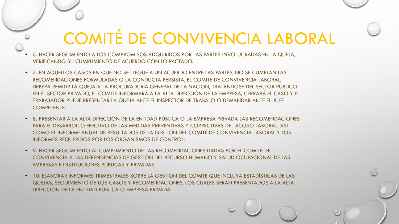- 6. HACER SEGUIMIENTO A LOS COMPROMISOS ADQUIRIDOS POR LAS PARTES INVOLUCRADAS EN LA QUEJA, VERIFICANDO SU CUMPLIMIENTO DE ACUERDO CON LO PACTADO.
- 7. EN AQUELLOS CASOS EN QUE NO SE LLEGUE A UN ACUERDO ENTRE LAS PARTES, NO SE CUMPLAN LAS RECOMENDACIONES FORMULADAS O LA CONDUCTA PERSISTA, EL COMITÉ DE CONVIVENCIA LABORAL, DEBERÁ REMITIR LA QUEJA A LA PROCURADURÍA GENERAL DE LA NACIÓN, TRATÁNDOSE DEL SECTOR PÚBLICO. EN EL SECTOR PRIVADO, EL COMITÉ INFORMARÁ A LA ALTA DIRECCIÓN DE LA EMPRESA, CERRARÁ EL CASO Y EL TRABAJADOR PUEDE PRESENTAR LA QUEJA ANTE EL INSPECTOR DE TRABAJO O DEMANDAR ANTE EL JUEZ COMPETENTE.
- 8. PRESENTAR A LA ALTA DIRECCIÓN DE LA ENTIDAD PÚBLICA O LA EMPRESA PRIVADA LAS RECOMENDACIONES PARA EL DESARROLLO EFECTIVO DE LAS MEDIDAS PREVENTIVAS Y CORRECTIVAS DEL ACOSO LABORAL, ASÍ COMO EL INFORME ANUAL DE RESULTADOS DE LA GESTIÓN DEL COMITÉ DE CONVIVENCIA LABORAL Y LOS INFORMES REQUERIDOS POR LOS ORGANISMOS DE CONTROL.
- 9. HACER SEGUIMIENTO AL CUMPLIMIENTO DE LAS RECOMENDACIONES DADAS POR EL COMITÉ DE CONVIVENCIA A LAS DEPENDENCIAS DE GESTIÓN DEL RECURSO HUMANO Y SALUD OCUPACIONAL DE LAS EMPRESAS E INSTITUCIONES PÚBLICAS Y PRIVADAS.
- 10. ELABORAR INFORMES TRIMESTRALES SOBRE LA GESTIÓN DEL COMITÉ QUE INCLUYA ESTADÍSTICAS DE LAS QUEJAS, SEGUIMIENTO DE LOS CASOS Y RECOMENDACIONES, LOS CUALES SERÁN PRESENTADOS A LA ALTA DIRECCIÓN DE LA ENTIDAD PÚBLICA O EMPRESA PRIVADA.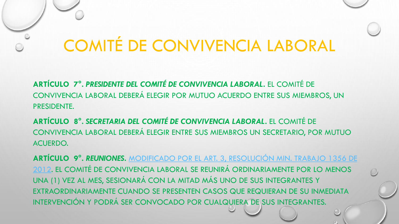**ARTÍCULO 7°.** *PRESIDENTE DEL COMITÉ DE CONVIVENCIA LABORAL***.** EL COMITÉ DE CONVIVENCIA LABORAL DEBERÁ ELEGIR POR MUTUO ACUERDO ENTRE SUS MIEMBROS, UN PRESIDENTE.

**ARTÍCULO 8°.** *SECRETARIA DEL COMITÉ DE CONVIVENCIA LABORAL***.** EL COMITÉ DE CONVIVENCIA LABORAL DEBERÁ ELEGIR ENTRE SUS MIEMBROS UN SECRETARIO, POR MUTUO ACUERDO.

**ARTÍCULO 9°.** *REUNIONES***.** MODIFICADO POR EL ART. 3, RESOLUCIÓN MIN. TRABAJO 1356 DE [2012. EL COMITÉ DE CONVIVENCIA LABORAL SE REUNIRÁ ORDINARIAMENTE POR](http://www.alcaldiabogota.gov.co/sisjur/normas/Norma1.jsp?i=48587#3) LO MENOS UNA (1) VEZ AL MES, SESIONARÁ CON LA MITAD MÁS UNO DE SUS INTEGRANTES Y EXTRAORDINARIAMENTE CUANDO SE PRESENTEN CASOS QUE REQUIERAN DE SU INMEDIATA INTERVENCIÓN Y PODRÁ SER CONVOCADO POR CUALQUIERA DE SUS INTEGRANTES.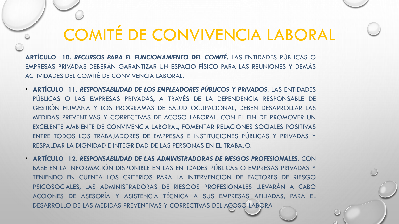**ARTÍCULO 10.** *RECURSOS PARA EL FUNCIONAMIENTO DEL COMITÉ***.** LAS ENTIDADES PÚBLICAS O EMPRESAS PRIVADAS DEBERÁN GARANTIZAR UN ESPACIO FÍSICO PARA LAS REUNIONES Y DEMÁS ACTIVIDADES DEL COMITÉ DE CONVIVENCIA LABORAL.

- **ARTÍCULO 11.** *RESPONSABILIDAD DE LOS EMPLEADORES PÚBLICOS Y PRIVADOS***.** LAS ENTIDADES PÚBLICAS O LAS EMPRESAS PRIVADAS, A TRAVÉS DE LA DEPENDENCIA RESPONSABLE DE GESTIÓN HUMANA Y LOS PROGRAMAS DE SALUD OCUPACIONAL, DEBEN DESARROLLAR LAS MEDIDAS PREVENTIVAS Y CORRECTIVAS DE ACOSO LABORAL, CON EL FIN DE PROMOVER UN EXCELENTE AMBIENTE DE CONVIVENCIA LABORAL, FOMENTAR RELACIONES SOCIALES POSITIVAS ENTRE TODOS LOS TRABAJADORES DE EMPRESAS E INSTITUCIONES PÚBLICAS Y PRIVADAS Y RESPALDAR LA DIGNIDAD E INTEGRIDAD DE LAS PERSONAS EN EL TRABAJO.
- **ARTÍCULO 12.** *RESPONSABILIDAD DE LAS ADMINISTRADORAS DE RIESGOS PROFESIONALES***.** CON BASE EN LA INFORMACIÓN DISPONIBLE EN LAS ENTIDADES PÚBLICAS O EMPRESAS PRIVADAS Y TENIENDO EN CUENTA LOS CRITERIOS PARA LA INTERVENCIÓN DE FACTORES DE RIESGO PSICOSOCIALES, LAS ADMINISTRADORAS DE RIESGOS PROFESIONALES LLEVARÁN A CABO ACCIONES DE ASESORÍA Y ASISTENCIA TÉCNICA A SUS EMPRESAS AFILIADAS, PARA EL DESARROLLO DE LAS MEDIDAS PREVENTIVAS Y CORRECTIVAS DEL ACOSO LABORA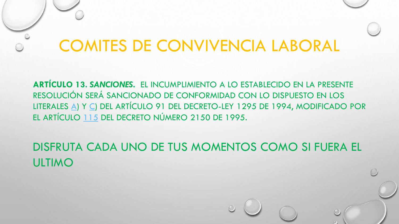**ARTÍCULO 13.** *SANCIONES***.** EL INCUMPLIMIENTO A LO ESTABLECIDO EN LA PRESENTE RESOLUCIÓN SERÁ SANCIONADO DE CONFORMIDAD CON LO DISPUESTO EN LOS LITERALES [A\)](http://www.alcaldiabogota.gov.co/sisjur/normas/Norma1.jsp?i=2629#91.a) Y [C](http://www.alcaldiabogota.gov.co/sisjur/normas/Norma1.jsp?i=2629#91.c)) DEL ARTÍCULO 91 DEL DECRETO-LEY 1295 DE 1994, MODIFICADO POR EL ARTÍCULO [115](http://www.alcaldiabogota.gov.co/sisjur/normas/Norma1.jsp?i=1208#115) DEL DECRETO NÚMERO 2150 DE 1995.

DISFRUTA CADA UNO DE TUS MOMENTOS COMO SI FUERA EL ULTIMO